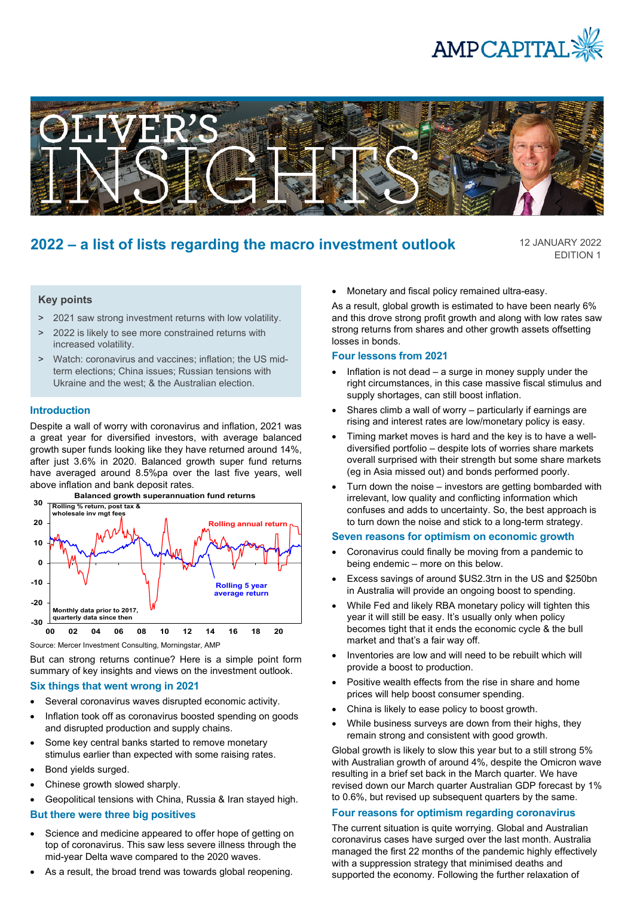



# **2022 – a list of lists regarding the macro investment outlook**

12 JANUARY 2022 EDITION 1

## **Key points**

- > 2021 saw strong investment returns with low volatility.
- > 2022 is likely to see more constrained returns with increased volatility.
- > Watch: coronavirus and vaccines; inflation; the US midterm elections; China issues; Russian tensions with Ukraine and the west; & the Australian election.

#### **Introduction**

Despite a wall of worry with coronavirus and inflation, 2021 was a great year for diversified investors, with average balanced growth super funds looking like they have returned around 14%, after just 3.6% in 2020. Balanced growth super fund returns have averaged around 8.5%pa over the last five years, well above inflation and bank deposit rates.



**Balanced growth superannuation fund returns**

Source: Mercer Investment Consulting, Morningstar, AMP

But can strong returns continue? Here is a simple point form summary of key insights and views on the investment outlook.

### **Six things that went wrong in 2021**

- Several coronavirus waves disrupted economic activity.
- Inflation took off as coronavirus boosted spending on goods and disrupted production and supply chains.
- Some key central banks started to remove monetary stimulus earlier than expected with some raising rates.
- Bond yields surged.
- Chinese growth slowed sharply.
- Geopolitical tensions with China, Russia & Iran stayed high.

# **But there were three big positives**

- Science and medicine appeared to offer hope of getting on top of coronavirus. This saw less severe illness through the mid-year Delta wave compared to the 2020 waves.
- As a result, the broad trend was towards global reopening.

• Monetary and fiscal policy remained ultra-easy.

As a result, global growth is estimated to have been nearly 6% and this drove strong profit growth and along with low rates saw strong returns from shares and other growth assets offsetting losses in bonds.

### **Four lessons from 2021**

- Inflation is not dead a surge in money supply under the right circumstances, in this case massive fiscal stimulus and supply shortages, can still boost inflation.
- Shares climb a wall of worry particularly if earnings are rising and interest rates are low/monetary policy is easy.
- Timing market moves is hard and the key is to have a welldiversified portfolio – despite lots of worries share markets overall surprised with their strength but some share markets (eg in Asia missed out) and bonds performed poorly.
- Turn down the noise investors are getting bombarded with irrelevant, low quality and conflicting information which confuses and adds to uncertainty. So, the best approach is to turn down the noise and stick to a long-term strategy.

#### **Seven reasons for optimism on economic growth**

- Coronavirus could finally be moving from a pandemic to being endemic – more on this below.
- Excess savings of around \$US2.3trn in the US and \$250bn in Australia will provide an ongoing boost to spending.
- While Fed and likely RBA monetary policy will tighten this year it will still be easy. It's usually only when policy becomes tight that it ends the economic cycle & the bull market and that's a fair way off.
- Inventories are low and will need to be rebuilt which will provide a boost to production.
- Positive wealth effects from the rise in share and home prices will help boost consumer spending.
- China is likely to ease policy to boost growth.
- While business surveys are down from their highs, they remain strong and consistent with good growth.

Global growth is likely to slow this year but to a still strong 5% with Australian growth of around 4%, despite the Omicron wave resulting in a brief set back in the March quarter. We have revised down our March quarter Australian GDP forecast by 1% to 0.6%, but revised up subsequent quarters by the same.

#### **Four reasons for optimism regarding coronavirus**

The current situation is quite worrying. Global and Australian coronavirus cases have surged over the last month. Australia managed the first 22 months of the pandemic highly effectively with a suppression strategy that minimised deaths and supported the economy. Following the further relaxation of